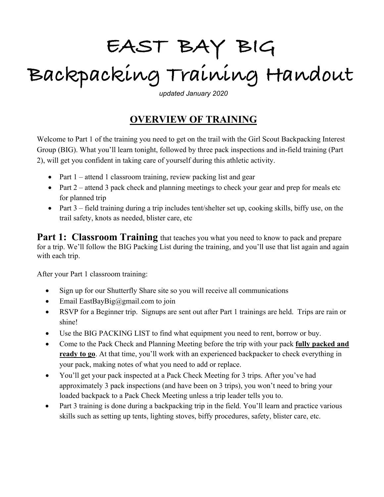# **EAST BAY BIG Backpacking Training Handout**

*updated January 2020*

## **OVERVIEW OF TRAINING**

Welcome to Part 1 of the training you need to get on the trail with the Girl Scout Backpacking Interest Group (BIG). What you'll learn tonight, followed by three pack inspections and in-field training (Part 2), will get you confident in taking care of yourself during this athletic activity.

- Part  $1$  attend 1 classroom training, review packing list and gear
- Part  $2$  attend 3 pack check and planning meetings to check your gear and prep for meals etc for planned trip
- Part 3 field training during a trip includes tent/shelter set up, cooking skills, biffy use, on the trail safety, knots as needed, blister care, etc

**Part 1: Classroom Training** that teaches you what you need to know to pack and prepare for a trip. We'll follow the BIG Packing List during the training, and you'll use that list again and again with each trip.

After your Part 1 classroom training:

- Sign up for our Shutterfly Share site so you will receive all communications
- Email EastBayBig@gmail.com to join
- RSVP for a Beginner trip. Signups are sent out after Part 1 trainings are held. Trips are rain or shine!
- Use the BIG PACKING LIST to find what equipment you need to rent, borrow or buy.
- Come to the Pack Check and Planning Meeting before the trip with your pack **fully packed and ready to go**. At that time, you'll work with an experienced backpacker to check everything in your pack, making notes of what you need to add or replace.
- You'll get your pack inspected at a Pack Check Meeting for 3 trips. After you've had approximately 3 pack inspections (and have been on 3 trips), you won't need to bring your loaded backpack to a Pack Check Meeting unless a trip leader tells you to.
- Part 3 training is done during a backpacking trip in the field. You'll learn and practice various skills such as setting up tents, lighting stoves, biffy procedures, safety, blister care, etc.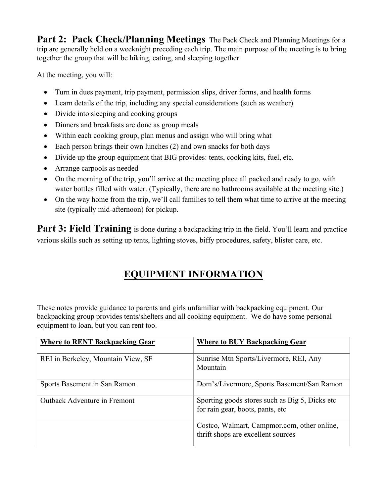**Part 2: Pack Check/Planning Meetings** The Pack Check and Planning Meetings for a trip are generally held on a weeknight preceding each trip. The main purpose of the meeting is to bring together the group that will be hiking, eating, and sleeping together.

At the meeting, you will:

- Turn in dues payment, trip payment, permission slips, driver forms, and health forms
- Learn details of the trip, including any special considerations (such as weather)
- Divide into sleeping and cooking groups
- Dinners and breakfasts are done as group meals
- Within each cooking group, plan menus and assign who will bring what
- Each person brings their own lunches (2) and own snacks for both days
- Divide up the group equipment that BIG provides: tents, cooking kits, fuel, etc.
- Arrange carpools as needed
- On the morning of the trip, you'll arrive at the meeting place all packed and ready to go, with water bottles filled with water. (Typically, there are no bathrooms available at the meeting site.)
- On the way home from the trip, we'll call families to tell them what time to arrive at the meeting site (typically mid-afternoon) for pickup.

**Part 3: Field Training** is done during a backpacking trip in the field. You'll learn and practice various skills such as setting up tents, lighting stoves, biffy procedures, safety, blister care, etc.

## **EQUIPMENT INFORMATION**

These notes provide guidance to parents and girls unfamiliar with backpacking equipment. Our backpacking group provides tents/shelters and all cooking equipment. We do have some personal equipment to loan, but you can rent too.

| <b>Where to RENT Backpacking Gear</b> | <b>Where to BUY Backpacking Gear</b>                                                |
|---------------------------------------|-------------------------------------------------------------------------------------|
| REI in Berkeley, Mountain View, SF    | Sunrise Mtn Sports/Livermore, REI, Any<br>Mountain                                  |
| Sports Basement in San Ramon          | Dom's/Livermore, Sports Basement/San Ramon                                          |
| <b>Outback Adventure in Fremont</b>   | Sporting goods stores such as Big 5, Dicks etc.<br>for rain gear, boots, pants, etc |
|                                       | Costco, Walmart, Campmor.com, other online,<br>thrift shops are excellent sources   |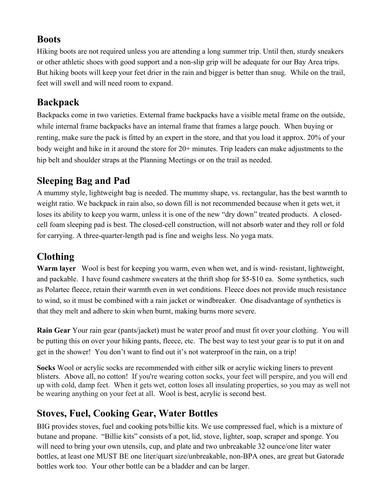#### **Boots**

Hiking boots are not required unless you are attending a long summer trip. Until then, sturdy sneakers or other athletic shoes with good support and a non-slip grip will be adequate for our Bay Area trips. But hiking boots will keep your feet drier in the rain and bigger is better than snug. While on the trail, feet will swell and will need room to expand.

#### **Backpack**

Backpacks come in two varieties. External frame backpacks have a visible metal frame on the outside, while internal frame backpacks have an internal frame that frames a large pouch. When buying or renting, make sure the pack is fitted by an expert in the store, and that you load it approx. 20% of your body weight and hike in it around the store for 20+ minutes. Trip leaders can make adjustments to the hip belt and shoulder straps at the Planning Meetings or on the trail as needed.

## **Sleeping Bag and Pad**

A mummy style, lightweight bag is needed. The mummy shape, vs. rectangular, has the best warmth to weight ratio. We backpack in rain also, so down fill is not recommended because when it gets wet, it loses its ability to keep you warm, unless it is one of the new "dry down" treated products. A closedcell foam sleeping pad is best. The closed-cell construction, will not absorb water and they roll or fold for carrying. A three-quarter-length pad is fine and weighs less. No yoga mats.

# **Clothing**

**Warm layer** Wool is best for keeping you warm, even when wet, and is wind- resistant, lightweight, and packable. I have found cashmere sweaters at the thrift shop for \$5-\$10 ea. Some synthetics, such as Polartec fleece, retain their warmth even in wet conditions. Fleece does not provide much resistance to wind, so it must be combined with a rain jacket or windbreaker. One disadvantage of synthetics is that they melt and adhere to skin when burnt, making burns more severe.

**Rain Gear** Your rain gear (pants/jacket) must be water proof and must fit over your clothing. You will be putting this on over your hiking pants, fleece, etc. The best way to test your gear is to put it on and get in the shower! You don't want to find out it's not waterproof in the rain, on a trip!

**Socks** Wool or acrylic socks are recommended with either silk or acrylic wicking liners to prevent blisters. Above all, no cotton! If you're wearing cotton socks, your feet will perspire, and you will end up with cold, damp feet. When it gets wet, cotton loses all insulating properties, so you may as well not be wearing anything on your feet at all. Wool is best, acrylic is second best.

# **Stoves, Fuel, Cooking Gear, Water Bottles**

BIG provides stoves, fuel and cooking pots/billie kits. We use compressed fuel, which is a mixture of butane and propane. "Billie kits" consists of a pot, lid, stove, lighter, soap, scraper and sponge. You will need to bring your own utensils, cup, and plate and two unbreakable 32 ounce/one liter water bottles, at least one MUST BE one liter/quart size/unbreakable, non-BPA ones, are great but Gatorade bottles work too. Your other bottle can be a bladder and can be larger.